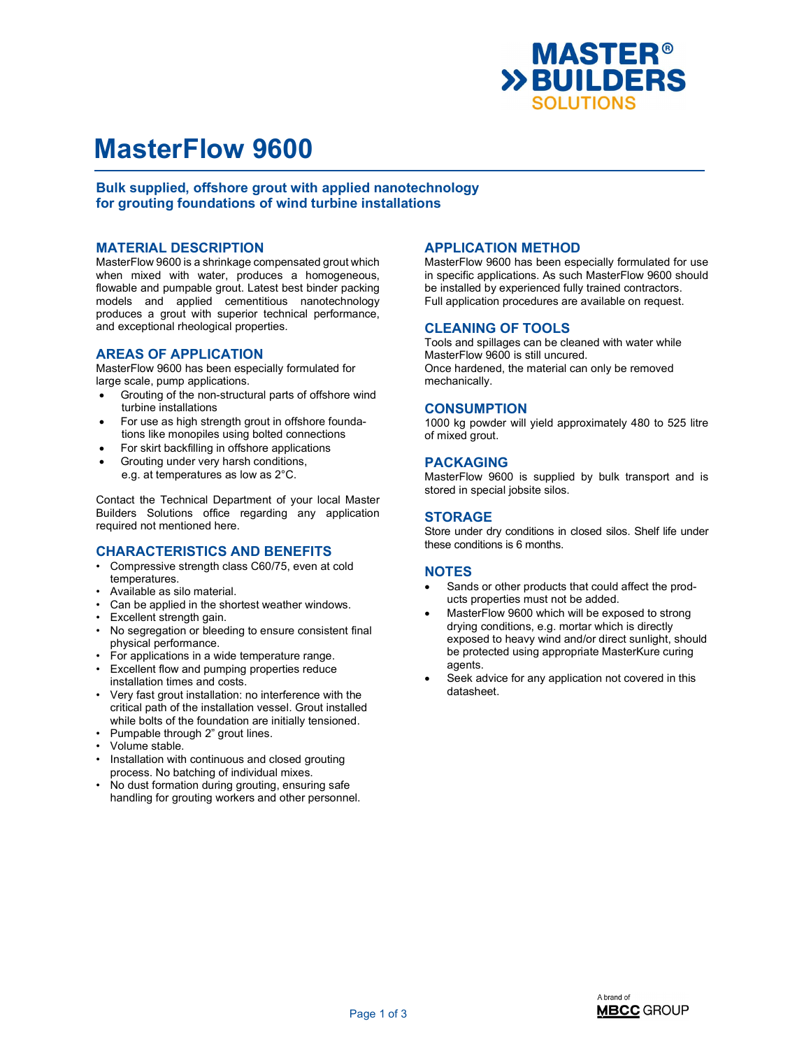

# MasterFlow 9600

Bulk supplied, offshore grout with applied nanotechnology for grouting foundations of wind turbine installations

#### MATERIAL DESCRIPTION

MasterFlow 9600 is a shrinkage compensated grout which when mixed with water, produces a homogeneous, flowable and pumpable grout. Latest best binder packing models and applied cementitious nanotechnology produces a grout with superior technical performance, and exceptional rheological properties.

### AREAS OF APPLICATION

MasterFlow 9600 has been especially formulated for large scale, pump applications.

- Grouting of the non-structural parts of offshore wind turbine installations
- For use as high strength grout in offshore foundations like monopiles using bolted connections
- For skirt backfilling in offshore applications
- Grouting under very harsh conditions, e.g. at temperatures as low as 2°C.

Contact the Technical Department of your local Master Builders Solutions office regarding any application required not mentioned here.

#### CHARACTERISTICS AND BENEFITS

- Compressive strength class C60/75, even at cold temperatures.
- Available as silo material.
- Can be applied in the shortest weather windows.
- Excellent strength gain.
- No segregation or bleeding to ensure consistent final physical performance.
- For applications in a wide temperature range.
- Excellent flow and pumping properties reduce installation times and costs.
- Very fast grout installation: no interference with the critical path of the installation vessel. Grout installed while bolts of the foundation are initially tensioned.
- Pumpable through 2" grout lines.
- Volume stable.
- Installation with continuous and closed grouting process. No batching of individual mixes.
- No dust formation during grouting, ensuring safe handling for grouting workers and other personnel.

# APPLICATION METHOD

MasterFlow 9600 has been especially formulated for use in specific applications. As such MasterFlow 9600 should be installed by experienced fully trained contractors. Full application procedures are available on request.

#### CLEANING OF TOOLS

Tools and spillages can be cleaned with water while MasterFlow 9600 is still uncured. Once hardened, the material can only be removed mechanically.

#### **CONSUMPTION**

1000 kg powder will yield approximately 480 to 525 litre of mixed grout.

#### PACKAGING

MasterFlow 9600 is supplied by bulk transport and is stored in special jobsite silos.

### STORAGE

Store under dry conditions in closed silos. Shelf life under these conditions is 6 months.

### **NOTES**

- Sands or other products that could affect the products properties must not be added.
- MasterFlow 9600 which will be exposed to strong drying conditions, e.g. mortar which is directly exposed to heavy wind and/or direct sunlight, should be protected using appropriate MasterKure curing agents.
- Seek advice for any application not covered in this datasheet.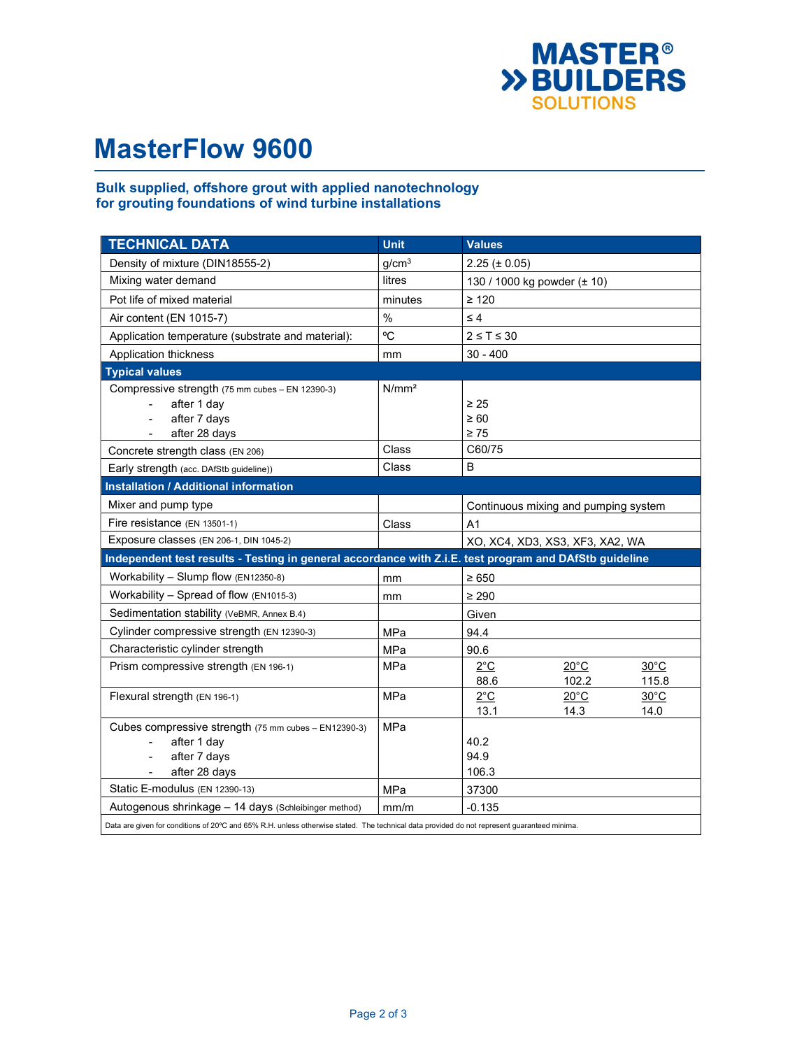

# MasterFlow 9600

## Bulk supplied, offshore grout with applied nanotechnology for grouting foundations of wind turbine installations

| <b>TECHNICAL DATA</b>                                                                                                                       | <b>Unit</b>       | <b>Values</b>                                     |
|---------------------------------------------------------------------------------------------------------------------------------------------|-------------------|---------------------------------------------------|
| Density of mixture (DIN18555-2)                                                                                                             | g/cm <sup>3</sup> | $2.25 (\pm 0.05)$                                 |
| Mixing water demand                                                                                                                         | litres            | 130 / 1000 kg powder (± 10)                       |
| Pot life of mixed material                                                                                                                  | minutes           | $\geq 120$                                        |
| Air content (EN 1015-7)                                                                                                                     | $\%$              | $\leq 4$                                          |
| Application temperature (substrate and material):                                                                                           | °C                | $2 \leq T \leq 30$                                |
| Application thickness                                                                                                                       | mm                | $30 - 400$                                        |
| <b>Typical values</b>                                                                                                                       |                   |                                                   |
| Compressive strength (75 mm cubes - EN 12390-3)                                                                                             | N/mm <sup>2</sup> |                                                   |
| after 1 day                                                                                                                                 |                   | $\geq 25$                                         |
| after 7 days                                                                                                                                |                   | $\geq 60$                                         |
| after 28 days                                                                                                                               |                   | $\geq 75$                                         |
| Concrete strength class (EN 206)                                                                                                            | Class             | C60/75                                            |
| Early strength (acc. DAfStb guideline))                                                                                                     | Class             | B                                                 |
| <b>Installation / Additional information</b>                                                                                                |                   |                                                   |
| Mixer and pump type                                                                                                                         |                   | Continuous mixing and pumping system              |
| Fire resistance (EN 13501-1)                                                                                                                | Class             | A1                                                |
| Exposure classes (EN 206-1, DIN 1045-2)                                                                                                     |                   | XO, XC4, XD3, XS3, XF3, XA2, WA                   |
| Independent test results - Testing in general accordance with Z.i.E. test program and DAfStb guideline                                      |                   |                                                   |
| Workability - Slump flow (EN12350-8)                                                                                                        | mm                | $\geq 650$                                        |
| Workability - Spread of flow (EN1015-3)                                                                                                     | mm                | $\geq 290$                                        |
| Sedimentation stability (VeBMR, Annex B.4)                                                                                                  |                   | Given                                             |
| Cylinder compressive strength (EN 12390-3)                                                                                                  | <b>MPa</b>        | 94.4                                              |
| Characteristic cylinder strength                                                                                                            | <b>MPa</b>        | 90.6                                              |
| Prism compressive strength (EN 196-1)                                                                                                       | MPa               | $20^{\circ}$ C<br>$30^{\circ}$ C<br>$2^{\circ}$ C |
|                                                                                                                                             |                   | 102.2<br>88.6<br>115.8                            |
| Flexural strength (EN 196-1)                                                                                                                | MPa               | $2^{\circ}$ C<br>$20^{\circ}$ C<br>$30^{\circ}$ C |
|                                                                                                                                             |                   | 14.3<br>13.1<br>14.0                              |
| Cubes compressive strength (75 mm cubes - EN12390-3)                                                                                        | <b>MPa</b>        |                                                   |
| after 1 day                                                                                                                                 |                   | 40.2                                              |
| after 7 days<br>$\overline{\phantom{a}}$                                                                                                    |                   | 94.9                                              |
| after 28 days<br>٠                                                                                                                          |                   | 106.3                                             |
| Static E-modulus (EN 12390-13)                                                                                                              | <b>MPa</b>        | 37300                                             |
| Autogenous shrinkage - 14 days (Schleibinger method)                                                                                        | mm/m              | $-0.135$                                          |
| Data are given for conditions of 20°C and 65% R.H. unless otherwise stated. The technical data provided do not represent guaranteed minima. |                   |                                                   |